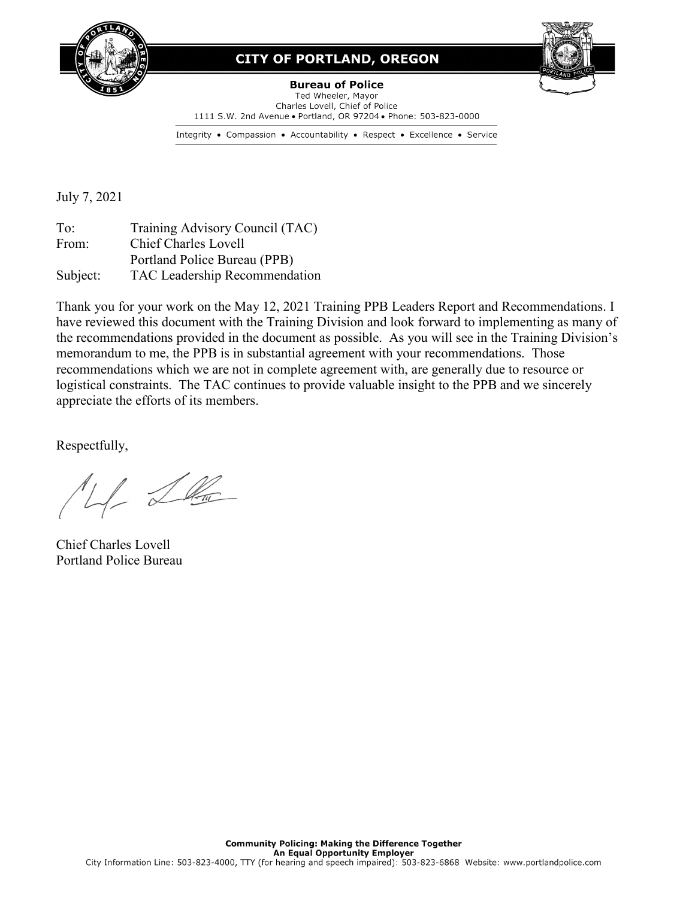

## **CITY OF PORTLAND, OREGON**



**Bureau of Police** Ted Wheeler, Mayor Charles Lovell, Chief of Police 1111 S.W. 2nd Avenue . Portland, OR 97204 . Phone: 503-823-0000

Integrity • Compassion • Accountability • Respect • Excellence • Service

July 7, 2021

To: Training Advisory Council (TAC) From: Chief Charles Lovell Portland Police Bureau (PPB) Subject: TAC Leadership Recommendation

Thank you for your work on the May 12, 2021 Training PPB Leaders Report and Recommendations. I have reviewed this document with the Training Division and look forward to implementing as many of the recommendations provided in the document as possible. As you will see in the Training Division's memorandum to me, the PPB is in substantial agreement with your recommendations. Those recommendations which we are not in complete agreement with, are generally due to resource or logistical constraints. The TAC continues to provide valuable insight to the PPB and we sincerely appreciate the efforts of its members.

Respectfully,

4 Le

Chief Charles Lovell Portland Police Bureau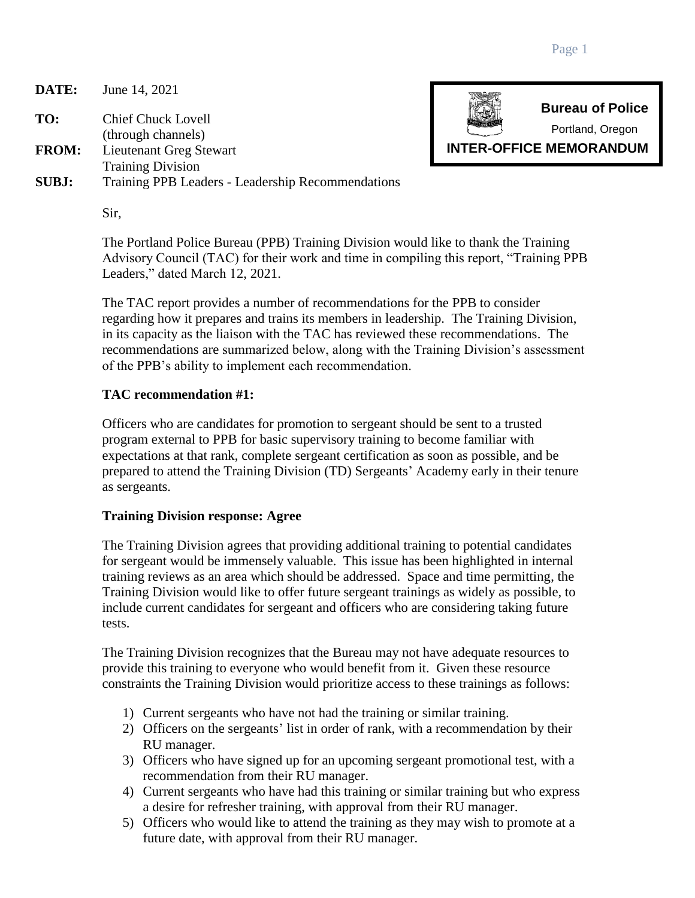**DATE:** June 14, 2021

**TO:** Chief Chuck Lovell

(through channels) **FROM:** Lieutenant Greg Stewart

Training Division

**SUBJ:** Training PPB Leaders - Leadership Recommendations



The Portland Police Bureau (PPB) Training Division would like to thank the Training Advisory Council (TAC) for their work and time in compiling this report, "Training PPB Leaders," dated March 12, 2021.

The TAC report provides a number of recommendations for the PPB to consider regarding how it prepares and trains its members in leadership. The Training Division, in its capacity as the liaison with the TAC has reviewed these recommendations. The recommendations are summarized below, along with the Training Division's assessment of the PPB's ability to implement each recommendation.

## **TAC recommendation #1:**

Officers who are candidates for promotion to sergeant should be sent to a trusted program external to PPB for basic supervisory training to become familiar with expectations at that rank, complete sergeant certification as soon as possible, and be prepared to attend the Training Division (TD) Sergeants' Academy early in their tenure as sergeants.

## **Training Division response: Agree**

The Training Division agrees that providing additional training to potential candidates for sergeant would be immensely valuable. This issue has been highlighted in internal training reviews as an area which should be addressed. Space and time permitting, the Training Division would like to offer future sergeant trainings as widely as possible, to include current candidates for sergeant and officers who are considering taking future tests.

The Training Division recognizes that the Bureau may not have adequate resources to provide this training to everyone who would benefit from it. Given these resource constraints the Training Division would prioritize access to these trainings as follows:

- 1) Current sergeants who have not had the training or similar training.
- 2) Officers on the sergeants' list in order of rank, with a recommendation by their RU manager.
- 3) Officers who have signed up for an upcoming sergeant promotional test, with a recommendation from their RU manager.
- 4) Current sergeants who have had this training or similar training but who express a desire for refresher training, with approval from their RU manager.
- 5) Officers who would like to attend the training as they may wish to promote at a future date, with approval from their RU manager.



**Bureau of Police**

Portland, Oregon

**INTER-OFFICE MEMORANDUM**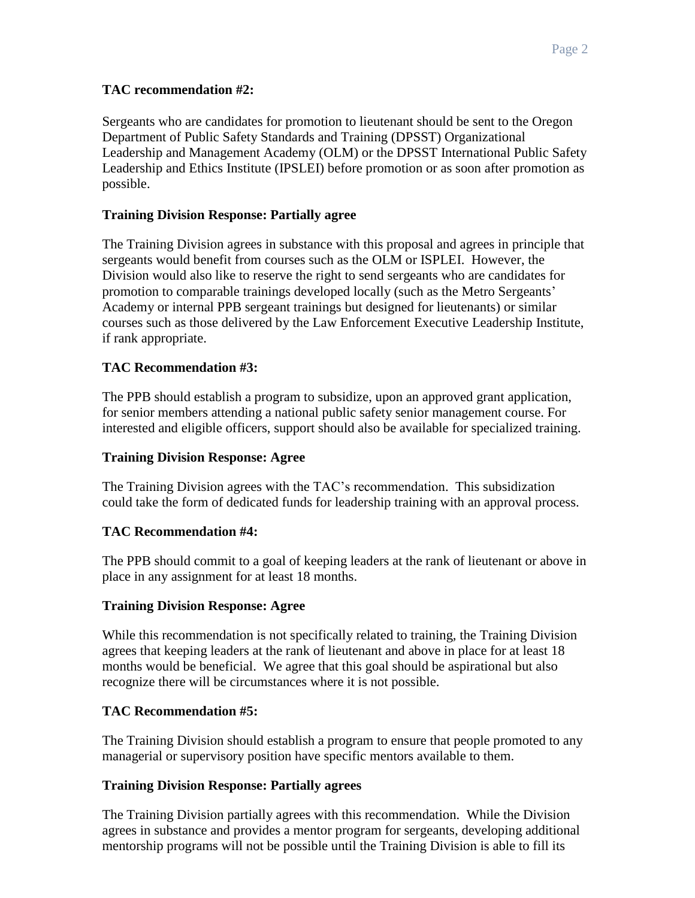#### **TAC recommendation #2:**

Sergeants who are candidates for promotion to lieutenant should be sent to the Oregon Department of Public Safety Standards and Training (DPSST) Organizational Leadership and Management Academy (OLM) or the DPSST International Public Safety Leadership and Ethics Institute (IPSLEI) before promotion or as soon after promotion as possible.

#### **Training Division Response: Partially agree**

The Training Division agrees in substance with this proposal and agrees in principle that sergeants would benefit from courses such as the OLM or ISPLEI. However, the Division would also like to reserve the right to send sergeants who are candidates for promotion to comparable trainings developed locally (such as the Metro Sergeants' Academy or internal PPB sergeant trainings but designed for lieutenants) or similar courses such as those delivered by the Law Enforcement Executive Leadership Institute, if rank appropriate.

#### **TAC Recommendation #3:**

The PPB should establish a program to subsidize, upon an approved grant application, for senior members attending a national public safety senior management course. For interested and eligible officers, support should also be available for specialized training.

#### **Training Division Response: Agree**

The Training Division agrees with the TAC's recommendation. This subsidization could take the form of dedicated funds for leadership training with an approval process.

#### **TAC Recommendation #4:**

The PPB should commit to a goal of keeping leaders at the rank of lieutenant or above in place in any assignment for at least 18 months.

#### **Training Division Response: Agree**

While this recommendation is not specifically related to training, the Training Division agrees that keeping leaders at the rank of lieutenant and above in place for at least 18 months would be beneficial. We agree that this goal should be aspirational but also recognize there will be circumstances where it is not possible.

#### **TAC Recommendation #5:**

The Training Division should establish a program to ensure that people promoted to any managerial or supervisory position have specific mentors available to them.

#### **Training Division Response: Partially agrees**

The Training Division partially agrees with this recommendation. While the Division agrees in substance and provides a mentor program for sergeants, developing additional mentorship programs will not be possible until the Training Division is able to fill its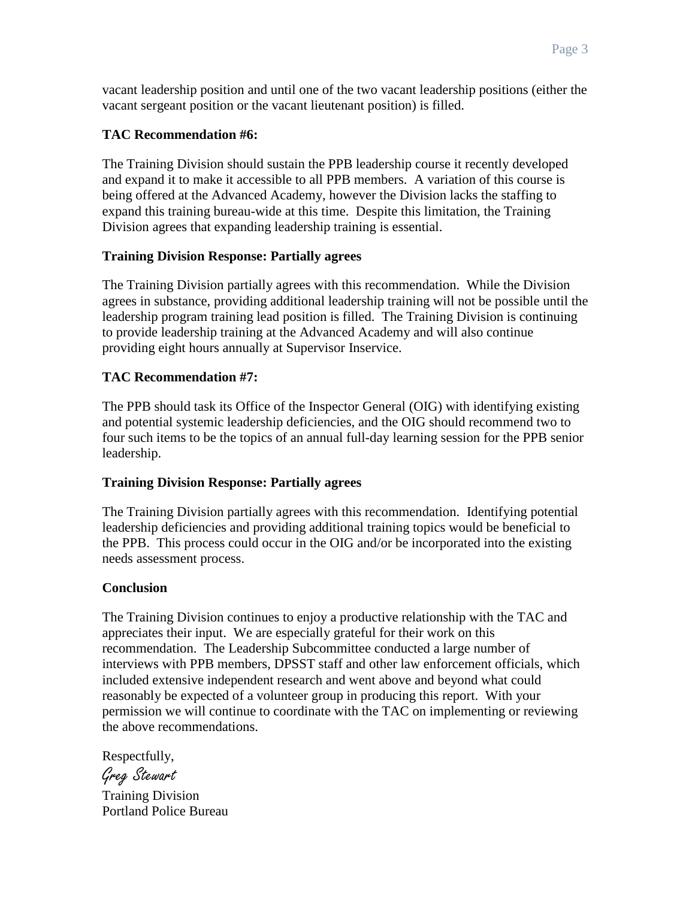vacant leadership position and until one of the two vacant leadership positions (either the vacant sergeant position or the vacant lieutenant position) is filled.

#### **TAC Recommendation #6:**

The Training Division should sustain the PPB leadership course it recently developed and expand it to make it accessible to all PPB members. A variation of this course is being offered at the Advanced Academy, however the Division lacks the staffing to expand this training bureau-wide at this time. Despite this limitation, the Training Division agrees that expanding leadership training is essential.

#### **Training Division Response: Partially agrees**

The Training Division partially agrees with this recommendation. While the Division agrees in substance, providing additional leadership training will not be possible until the leadership program training lead position is filled. The Training Division is continuing to provide leadership training at the Advanced Academy and will also continue providing eight hours annually at Supervisor Inservice.

#### **TAC Recommendation #7:**

The PPB should task its Office of the Inspector General (OIG) with identifying existing and potential systemic leadership deficiencies, and the OIG should recommend two to four such items to be the topics of an annual full-day learning session for the PPB senior leadership.

#### **Training Division Response: Partially agrees**

The Training Division partially agrees with this recommendation. Identifying potential leadership deficiencies and providing additional training topics would be beneficial to the PPB. This process could occur in the OIG and/or be incorporated into the existing needs assessment process.

#### **Conclusion**

The Training Division continues to enjoy a productive relationship with the TAC and appreciates their input. We are especially grateful for their work on this recommendation. The Leadership Subcommittee conducted a large number of interviews with PPB members, DPSST staff and other law enforcement officials, which included extensive independent research and went above and beyond what could reasonably be expected of a volunteer group in producing this report. With your permission we will continue to coordinate with the TAC on implementing or reviewing the above recommendations.

Respectfully,

Greg Stewart

Training Division Portland Police Bureau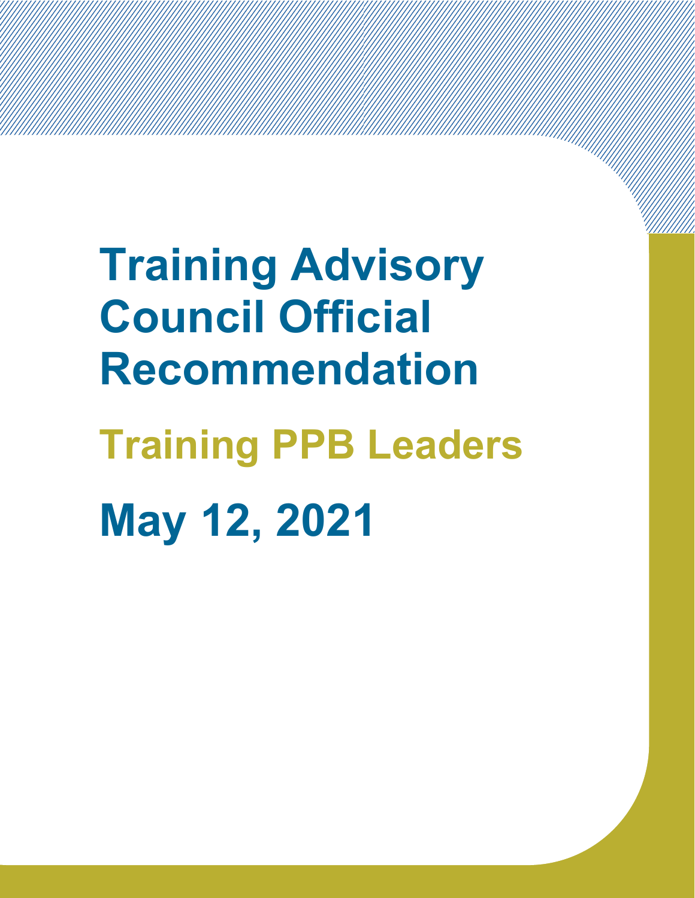**Training Advisory Council Official Recommendation Training PPB Leaders May 12, 2021**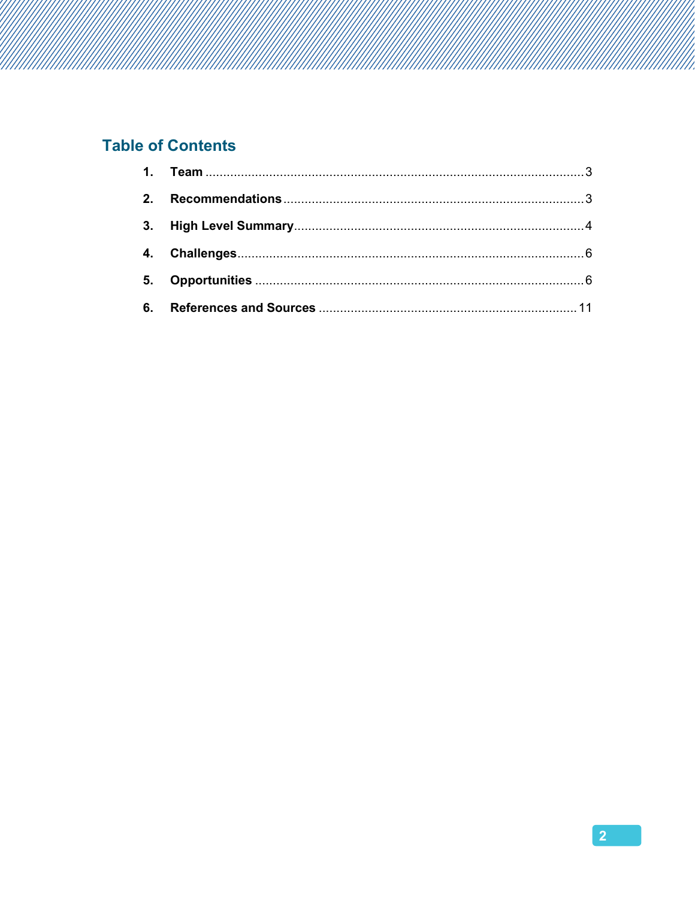## **Table of Contents**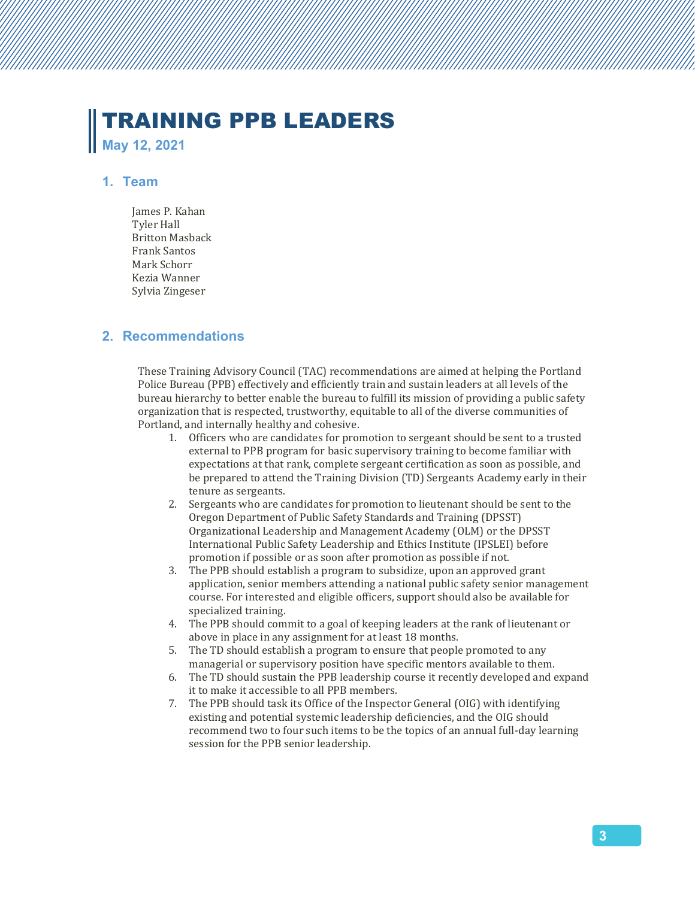# TRAINING PPB LEADERS **May 12, 2021**

#### **1. Team**

James P. Kahan Tyler Hall Britton Masback Frank Santos Mark Schorr Kezia Wanner Sylvia Zingeser

#### **2. Recommendations**

These Training Advisory Council (TAC) recommendations are aimed at helping the Portland Police Bureau (PPB) effectively and efficiently train and sustain leaders at all levels of the bureau hierarchy to better enable the bureau to fulfill its mission of providing a public safety organization that is respected, trustworthy, equitable to all of the diverse communities of Portland, and internally healthy and cohesive.

- 1. Officers who are candidates for promotion to sergeant should be sent to a trusted external to PPB program for basic supervisory training to become familiar with expectations at that rank, complete sergeant certification as soon as possible, and be prepared to attend the Training Division (TD) Sergeants Academy early in their tenure as sergeants.
- 2. Sergeants who are candidates for promotion to lieutenant should be sent to the Oregon Department of Public Safety Standards and Training (DPSST) Organizational Leadership and Management Academy (OLM) or the DPSST International Public Safety Leadership and Ethics Institute (IPSLEI) before promotion if possible or as soon after promotion as possible if not.
- 3. The PPB should establish a program to subsidize, upon an approved grant application, senior members attending a national public safety senior management course. For interested and eligible officers, support should also be available for specialized training.
- 4. The PPB should commit to a goal of keeping leaders at the rank of lieutenant or above in place in any assignment for at least 18 months.
- 5. The TD should establish a program to ensure that people promoted to any managerial or supervisory position have specific mentors available to them.
- 6. The TD should sustain the PPB leadership course it recently developed and expand it to make it accessible to all PPB members.
- 7. The PPB should task its Office of the Inspector General (OIG) with identifying existing and potential systemic leadership deficiencies, and the OIG should recommend two to four such items to be the topics of an annual full-day learning session for the PPB senior leadership.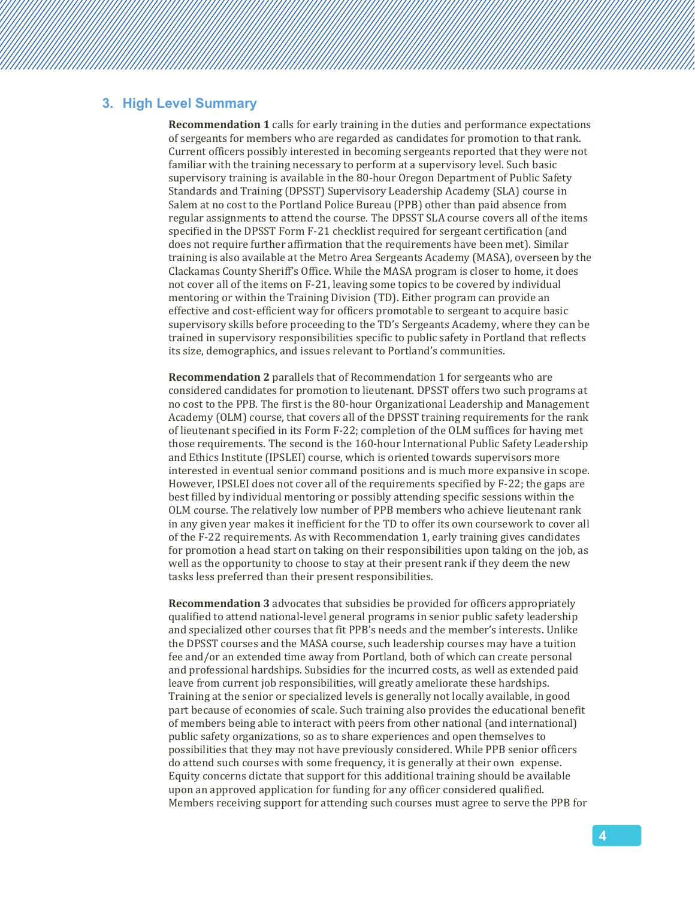#### **3. High Level Summary**

**Recommendation 1** calls for early training in the duties and performance expectations of sergeants for members who are regarded as candidates for promotion to that rank. Current officers possibly interested in becoming sergeants reported that they were not familiar with the training necessary to perform at a supervisory level. Such basic supervisory training is available in the 80-hour Oregon Department of Public Safety Standards and Training (DPSST) Supervisory Leadership Academy (SLA) course in Salem at no cost to the Portland Police Bureau (PPB) other than paid absence from regular assignments to attend the course. The DPSST SLA course covers all of the items specified in the DPSST Form F-21 checklist required for sergeant certification (and does not require further affirmation that the requirements have been met). Similar training is also available at the Metro Area Sergeants Academy (MASA), overseen by the Clackamas County Sheriff's Office. While the MASA program is closer to home, it does not cover all of the items on F-21, leaving some topics to be covered by individual mentoring or within the Training Division (TD). Either program can provide an effective and cost-efficient way for officers promotable to sergeant to acquire basic supervisory skills before proceeding to the TD's Sergeants Academy, where they can be trained in supervisory responsibilities specific to public safety in Portland that reflects its size, demographics, and issues relevant to Portland's communities.

**Recommendation 2** parallels that of Recommendation 1 for sergeants who are considered candidates for promotion to lieutenant. DPSST offers two such programs at no cost to the PPB. The first is the 80-hour Organizational Leadership and Management Academy (OLM) course, that covers all of the DPSST training requirements for the rank of lieutenant specified in its Form F-22; completion of the OLM suffices for having met those requirements. The second is the 160-hour International Public Safety Leadership and Ethics Institute (IPSLEI) course, which is oriented towards supervisors more interested in eventual senior command positions and is much more expansive in scope. However, IPSLEI does not cover all of the requirements specified by F-22; the gaps are best filled by individual mentoring or possibly attending specific sessions within the OLM course. The relatively low number of PPB members who achieve lieutenant rank in any given year makes it inefficient for the TD to offer its own coursework to cover all of the F-22 requirements. As with Recommendation 1, early training gives candidates for promotion a head start on taking on their responsibilities upon taking on the job, as well as the opportunity to choose to stay at their present rank if they deem the new tasks less preferred than their present responsibilities.

**Recommendation 3** advocates that subsidies be provided for officers appropriately qualified to attend national-level general programs in senior public safety leadership and specialized other courses that fit PPB's needs and the member's interests. Unlike the DPSST courses and the MASA course, such leadership courses may have a tuition fee and/or an extended time away from Portland, both of which can create personal and professional hardships. Subsidies for the incurred costs, as well as extended paid leave from current job responsibilities, will greatly ameliorate these hardships. Training at the senior or specialized levels is generally not locally available, in good part because of economies of scale. Such training also provides the educational benefit of members being able to interact with peers from other national (and international) public safety organizations, so as to share experiences and open themselves to possibilities that they may not have previously considered. While PPB senior officers do attend such courses with some frequency, it is generally at their own expense. Equity concerns dictate that support for this additional training should be available upon an approved application for funding for any officer considered qualified. Members receiving support for attending such courses must agree to serve the PPB for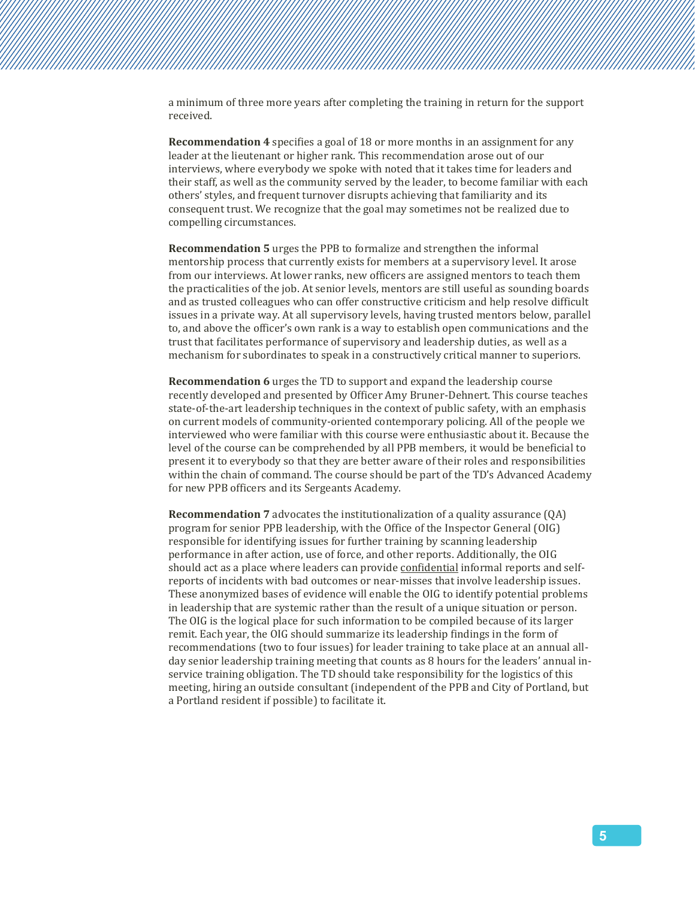a minimum of three more years after completing the training in return for the support received.

**Recommendation 4** specifies a goal of 18 or more months in an assignment for any leader at the lieutenant or higher rank. This recommendation arose out of our interviews, where everybody we spoke with noted that it takes time for leaders and their staff, as well as the community served by the leader, to become familiar with each others' styles, and frequent turnover disrupts achieving that familiarity and its consequent trust. We recognize that the goal may sometimes not be realized due to compelling circumstances.

**Recommendation 5** urges the PPB to formalize and strengthen the informal mentorship process that currently exists for members at a supervisory level. It arose from our interviews. At lower ranks, new officers are assigned mentors to teach them the practicalities of the job. At senior levels, mentors are still useful as sounding boards and as trusted colleagues who can offer constructive criticism and help resolve difficult issues in a private way. At all supervisory levels, having trusted mentors below, parallel to, and above the officer's own rank is a way to establish open communications and the trust that facilitates performance of supervisory and leadership duties, as well as a mechanism for subordinates to speak in a constructively critical manner to superiors.

**Recommendation 6** urges the TD to support and expand the leadership course recently developed and presented by Officer Amy Bruner-Dehnert. This course teaches state-of-the-art leadership techniques in the context of public safety, with an emphasis on current models of community-oriented contemporary policing. All of the people we interviewed who were familiar with this course were enthusiastic about it. Because the level of the course can be comprehended by all PPB members, it would be beneficial to present it to everybody so that they are better aware of their roles and responsibilities within the chain of command. The course should be part of the TD's Advanced Academy for new PPB officers and its Sergeants Academy.

**Recommendation 7** advocates the institutionalization of a quality assurance (QA) program for senior PPB leadership, with the Office of the Inspector General (OIG) responsible for identifying issues for further training by scanning leadership performance in after action, use of force, and other reports. Additionally, the OIG should act as a place where leaders can provide confidential informal reports and selfreports of incidents with bad outcomes or near-misses that involve leadership issues. These anonymized bases of evidence will enable the OIG to identify potential problems in leadership that are systemic rather than the result of a unique situation or person. The OIG is the logical place for such information to be compiled because of its larger remit. Each year, the OIG should summarize its leadership findings in the form of recommendations (two to four issues) for leader training to take place at an annual allday senior leadership training meeting that counts as 8 hours for the leaders' annual inservice training obligation. The TD should take responsibility for the logistics of this meeting, hiring an outside consultant (independent of the PPB and City of Portland, but a Portland resident if possible) to facilitate it.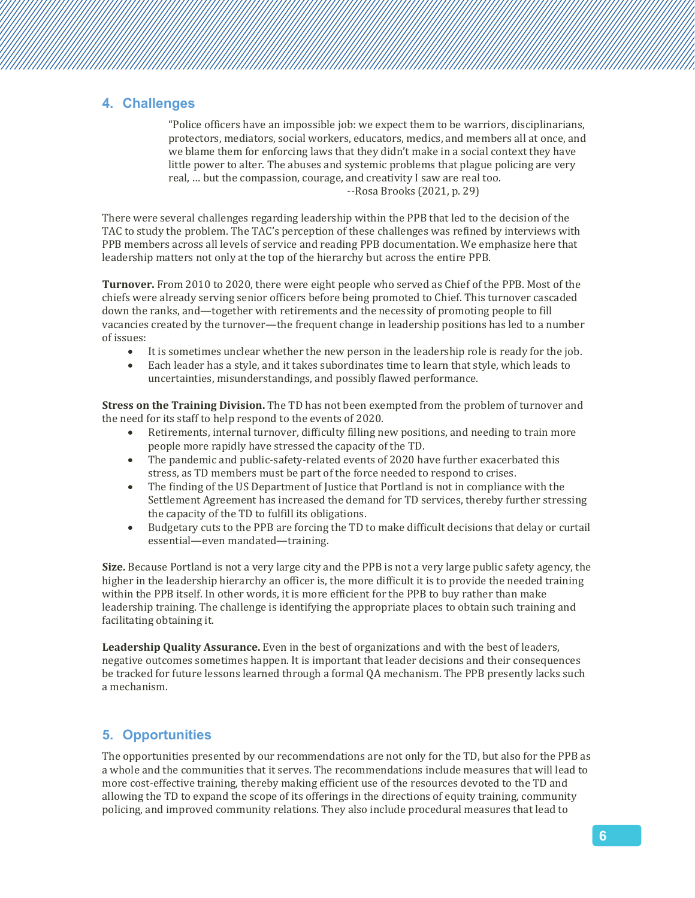#### **4. Challenges**

"Police officers have an impossible job: we expect them to be warriors, disciplinarians, protectors, mediators, social workers, educators, medics, and members all at once, and we blame them for enforcing laws that they didn't make in a social context they have little power to alter. The abuses and systemic problems that plague policing are very real, … but the compassion, courage, and creativity I saw are real too. --Rosa Brooks (2021, p. 29)

There were several challenges regarding leadership within the PPB that led to the decision of the TAC to study the problem. The TAC's perception of these challenges was refined by interviews with PPB members across all levels of service and reading PPB documentation. We emphasize here that leadership matters not only at the top of the hierarchy but across the entire PPB.

**Turnover.** From 2010 to 2020, there were eight people who served as Chief of the PPB. Most of the chiefs were already serving senior officers before being promoted to Chief. This turnover cascaded down the ranks, and—together with retirements and the necessity of promoting people to fill vacancies created by the turnover—the frequent change in leadership positions has led to a number of issues:

- It is sometimes unclear whether the new person in the leadership role is ready for the job.
- Each leader has a style, and it takes subordinates time to learn that style, which leads to uncertainties, misunderstandings, and possibly flawed performance.

**Stress on the Training Division.** The TD has not been exempted from the problem of turnover and the need for its staff to help respond to the events of 2020.

- Retirements, internal turnover, difficulty filling new positions, and needing to train more people more rapidly have stressed the capacity of the TD.
- The pandemic and public-safety-related events of 2020 have further exacerbated this stress, as TD members must be part of the force needed to respond to crises.
- The finding of the US Department of Justice that Portland is not in compliance with the Settlement Agreement has increased the demand for TD services, thereby further stressing the capacity of the TD to fulfill its obligations.
- Budgetary cuts to the PPB are forcing the TD to make difficult decisions that delay or curtail essential—even mandated—training.

**Size.** Because Portland is not a very large city and the PPB is not a very large public safety agency, the higher in the leadership hierarchy an officer is, the more difficult it is to provide the needed training within the PPB itself. In other words, it is more efficient for the PPB to buy rather than make leadership training. The challenge is identifying the appropriate places to obtain such training and facilitating obtaining it.

**Leadership Quality Assurance.** Even in the best of organizations and with the best of leaders, negative outcomes sometimes happen. It is important that leader decisions and their consequences be tracked for future lessons learned through a formal QA mechanism. The PPB presently lacks such a mechanism.

## **5. Opportunities**

The opportunities presented by our recommendations are not only for the TD, but also for the PPB as a whole and the communities that it serves. The recommendations include measures that will lead to more cost-effective training, thereby making efficient use of the resources devoted to the TD and allowing the TD to expand the scope of its offerings in the directions of equity training, community policing, and improved community relations. They also include procedural measures that lead to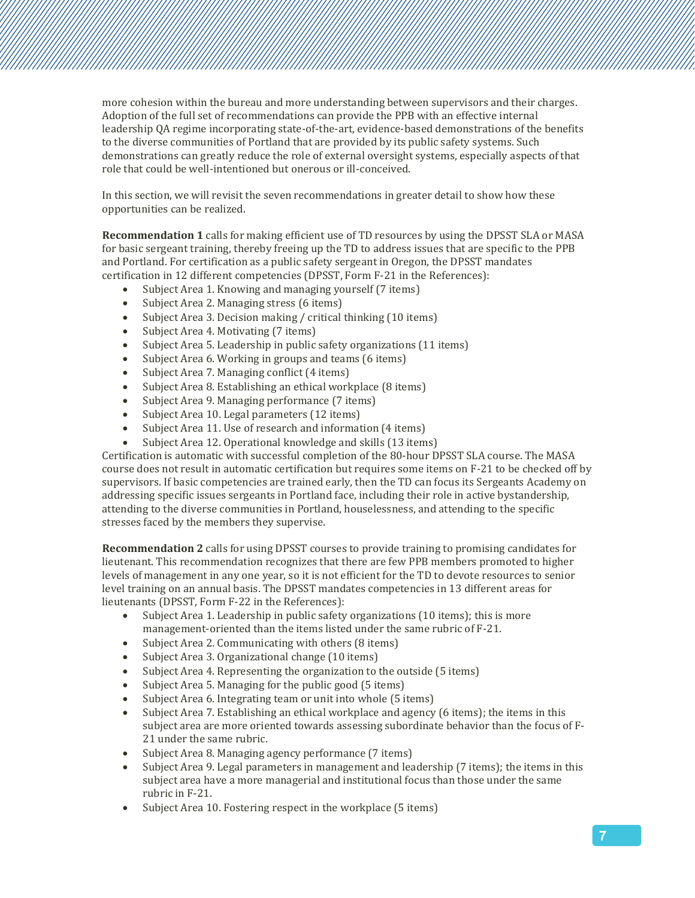more cohesion within the bureau and more understanding between supervisors and their charges. Adoption of the full set of recommendations can provide the PPB with an effective internal leadership QA regime incorporating state-of-the-art, evidence-based demonstrations of the benefits to the diverse communities of Portland that are provided by its public safety systems. Such demonstrations can greatly reduce the role of external oversight systems, especially aspects of that role that could be well-intentioned but onerous or ill-conceived.

In this section, we will revisit the seven recommendations in greater detail to show how these opportunities can be realized.

**Recommendation 1** calls for making efficient use of TD resources by using the DPSST SLA or MASA for basic sergeant training, thereby freeing up the TD to address issues that are specific to the PPB and Portland. For certification as a public safety sergeant in Oregon, the DPSST mandates certification in 12 different competencies (DPSST, Form F-21 in the References):

- Subject Area 1. Knowing and managing yourself (7 items)
- Subject Area 2. Managing stress (6 items)
- Subject Area 3. Decision making / critical thinking (10 items)
- Subject Area 4. Motivating (7 items)
- Subject Area 5. Leadership in public safety organizations (11 items)
- Subject Area 6. Working in groups and teams (6 items)
- Subject Area 7. Managing conflict (4 items)
- Subject Area 8. Establishing an ethical workplace (8 items)
- Subject Area 9. Managing performance (7 items)
- Subject Area 10. Legal parameters (12 items)
- Subject Area 11. Use of research and information (4 items)
- Subject Area 12. Operational knowledge and skills (13 items)

Certification is automatic with successful completion of the 80-hour DPSST SLA course. The MASA course does not result in automatic certification but requires some items on F-21 to be checked off by supervisors. If basic competencies are trained early, then the TD can focus its Sergeants Academy on addressing specific issues sergeants in Portland face, including their role in active bystandership, attending to the diverse communities in Portland, houselessness, and attending to the specific stresses faced by the members they supervise.

**Recommendation 2** calls for using DPSST courses to provide training to promising candidates for lieutenant. This recommendation recognizes that there are few PPB members promoted to higher levels of management in any one year, so it is not efficient for the TD to devote resources to senior level training on an annual basis. The DPSST mandates competencies in 13 different areas for lieutenants (DPSST, Form F-22 in the References):

- Subject Area 1. Leadership in public safety organizations (10 items); this is more management-oriented than the items listed under the same rubric of F-21.
- Subject Area 2. Communicating with others (8 items)
- Subject Area 3. Organizational change (10 items)
- Subject Area 4. Representing the organization to the outside (5 items)
- Subject Area 5. Managing for the public good (5 items)
- Subject Area 6. Integrating team or unit into whole (5 items)
- Subject Area 7. Establishing an ethical workplace and agency (6 items); the items in this subject area are more oriented towards assessing subordinate behavior than the focus of F-21 under the same rubric.
- Subject Area 8. Managing agency performance (7 items)
- Subject Area 9. Legal parameters in management and leadership (7 items); the items in this subject area have a more managerial and institutional focus than those under the same rubric in F-21.
- Subject Area 10. Fostering respect in the workplace (5 items)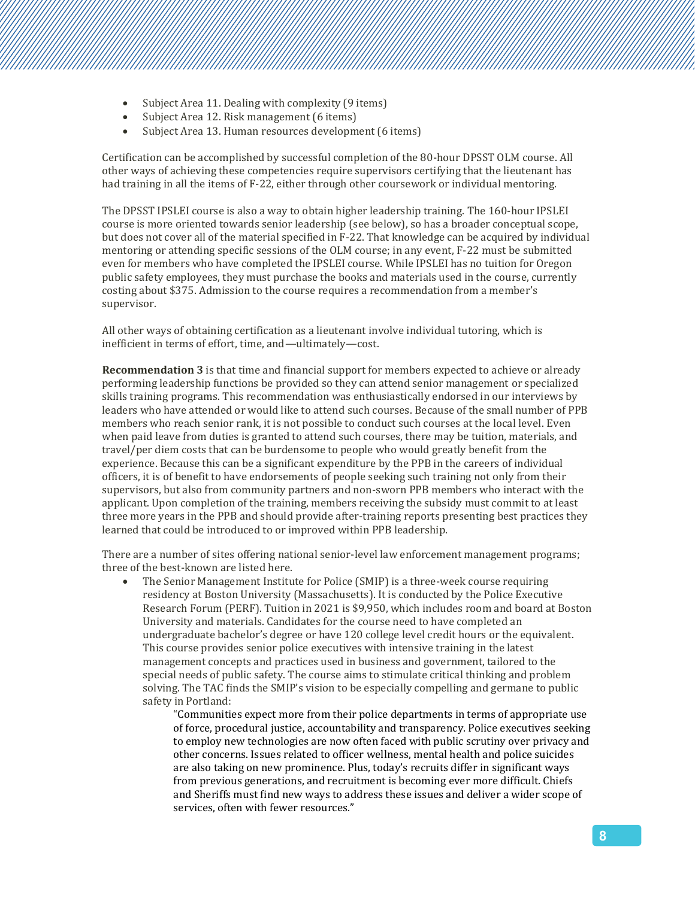- Subject Area 11. Dealing with complexity (9 items)
- Subject Area 12. Risk management (6 items)
- Subject Area 13. Human resources development (6 items)

Certification can be accomplished by successful completion of the 80-hour DPSST OLM course. All other ways of achieving these competencies require supervisors certifying that the lieutenant has had training in all the items of F-22, either through other coursework or individual mentoring.

The DPSST IPSLEI course is also a way to obtain higher leadership training. The 160-hour IPSLEI course is more oriented towards senior leadership (see below), so has a broader conceptual scope, but does not cover all of the material specified in F-22. That knowledge can be acquired by individual mentoring or attending specific sessions of the OLM course; in any event, F-22 must be submitted even for members who have completed the IPSLEI course. While IPSLEI has no tuition for Oregon public safety employees, they must purchase the books and materials used in the course, currently costing about \$375. Admission to the course requires a recommendation from a member's supervisor.

All other ways of obtaining certification as a lieutenant involve individual tutoring, which is inefficient in terms of effort, time, and—ultimately—cost.

**Recommendation 3** is that time and financial support for members expected to achieve or already performing leadership functions be provided so they can attend senior management or specialized skills training programs. This recommendation was enthusiastically endorsed in our interviews by leaders who have attended or would like to attend such courses. Because of the small number of PPB members who reach senior rank, it is not possible to conduct such courses at the local level. Even when paid leave from duties is granted to attend such courses, there may be tuition, materials, and travel/per diem costs that can be burdensome to people who would greatly benefit from the experience. Because this can be a significant expenditure by the PPB in the careers of individual officers, it is of benefit to have endorsements of people seeking such training not only from their supervisors, but also from community partners and non-sworn PPB members who interact with the applicant. Upon completion of the training, members receiving the subsidy must commit to at least three more years in the PPB and should provide after-training reports presenting best practices they learned that could be introduced to or improved within PPB leadership.

There are a number of sites offering national senior-level law enforcement management programs; three of the best-known are listed here.

• The Senior Management Institute for Police (SMIP) is a three-week course requiring residency at Boston University (Massachusetts). It is conducted by the Police Executive Research Forum (PERF). Tuition in 2021 is \$9,950, which includes room and board at Boston University and materials. Candidates for the course need to have completed an undergraduate bachelor's degree or have 120 college level credit hours or the equivalent. This course provides senior police executives with intensive training in the latest management concepts and practices used in business and government, tailored to the special needs of public safety. The course aims to stimulate critical thinking and problem solving. The TAC finds the SMIP's vision to be especially compelling and germane to public safety in Portland:

> "Communities expect more from their police departments in terms of appropriate use of force, procedural justice, accountability and transparency. Police executives seeking to employ new technologies are now often faced with public scrutiny over privacy and other concerns. Issues related to officer wellness, mental health and police suicides are also taking on new prominence. Plus, today's recruits differ in significant ways from previous generations, and recruitment is becoming ever more difficult. Chiefs and Sheriffs must find new ways to address these issues and deliver a wider scope of services, often with fewer resources."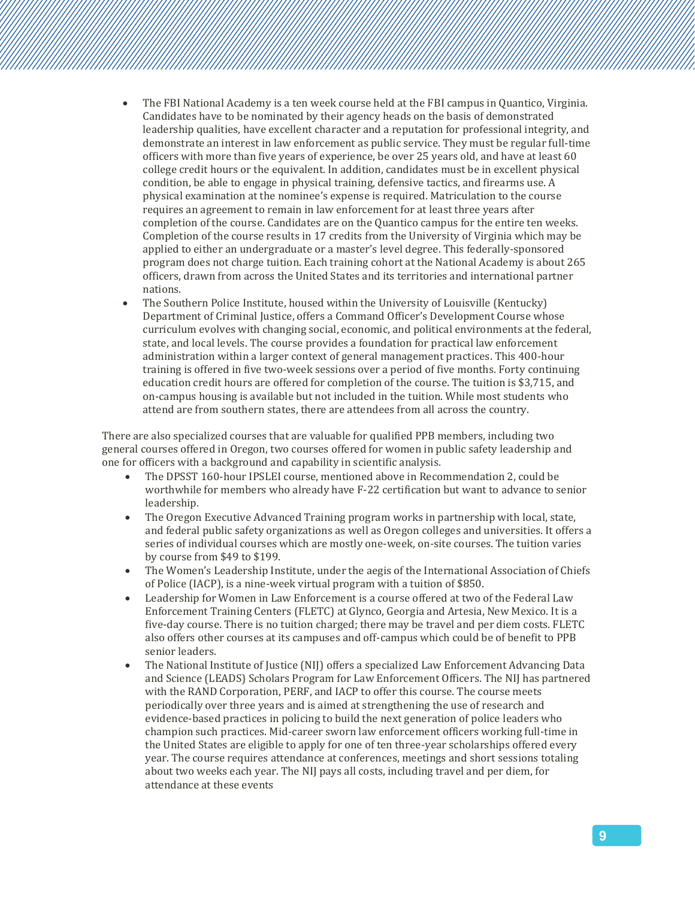- The FBI National Academy is a ten week course held at the FBI campus in Quantico, Virginia. Candidates have to be nominated by their agency heads on the basis of demonstrated leadership qualities, have excellent character and a reputation for professional integrity, and demonstrate an interest in law enforcement as public service. They must be regular full-time officers with more than five years of experience, be over 25 years old, and have at least 60 college credit hours or the equivalent. In addition, candidates must be in excellent physical condition, be able to engage in physical training, defensive tactics, and firearms use. A physical examination at the nominee's expense is required. Matriculation to the course requires an agreement to remain in law enforcement for at least three years after completion of the course. Candidates are on the Quantico campus for the entire ten weeks. Completion of the course results in 17 credits from the University of Virginia which may be applied to either an undergraduate or a master's level degree. This federally-sponsored program does not charge tuition. Each training cohort at the National Academy is about 265 officers, drawn from across the United States and its territories and international partner nations.
- The Southern Police Institute, housed within the University of Louisville (Kentucky) Department of Criminal Justice, offers a Command Officer's Development Course whose curriculum evolves with changing social, economic, and political environments at the federal, state, and local levels. The course provides a foundation for practical law enforcement administration within a larger context of general management practices. This 400-hour training is offered in five two-week sessions over a period of five months. Forty continuing education credit hours are offered for completion of the course. The tuition is \$3,715, and on-campus housing is available but not included in the tuition. While most students who attend are from southern states, there are attendees from all across the country.

There are also specialized courses that are valuable for qualified PPB members, including two general courses offered in Oregon, two courses offered for women in public safety leadership and one for officers with a background and capability in scientific analysis.

- The DPSST 160-hour IPSLEI course, mentioned above in Recommendation 2, could be worthwhile for members who already have F-22 certification but want to advance to senior leadership.
- The Oregon Executive Advanced Training program works in partnership with local, state, and federal public safety organizations as well as Oregon colleges and universities. It offers a series of individual courses which are mostly one-week, on-site courses. The tuition varies by course from \$49 to \$199.
- The Women's Leadership Institute, under the aegis of the International Association of Chiefs of Police (IACP), is a nine-week virtual program with a tuition of \$850.
- Leadership for Women in Law Enforcement is a course offered at two of the Federal Law Enforcement Training Centers (FLETC) at Glynco, Georgia and Artesia, New Mexico. It is a five-day course. There is no tuition charged; there may be travel and per diem costs. FLETC also offers other courses at its campuses and off-campus which could be of benefit to PPB senior leaders.
- The National Institute of Justice (NIJ) offers a specialized Law Enforcement Advancing Data and Science (LEADS) Scholars Program for Law Enforcement Officers. The NIJ has partnered with the RAND Corporation, PERF, and IACP to offer this course. The course meets periodically over three years and is aimed at strengthening the use of research and evidence-based practices in policing to build the next generation of police leaders who champion such practices. Mid-career sworn law enforcement officers working full-time in the United States are eligible to apply for one of ten three-year scholarships offered every year. The course requires attendance at conferences, meetings and short sessions totaling about two weeks each year. The NIJ pays all costs, including travel and per diem, for attendance at these events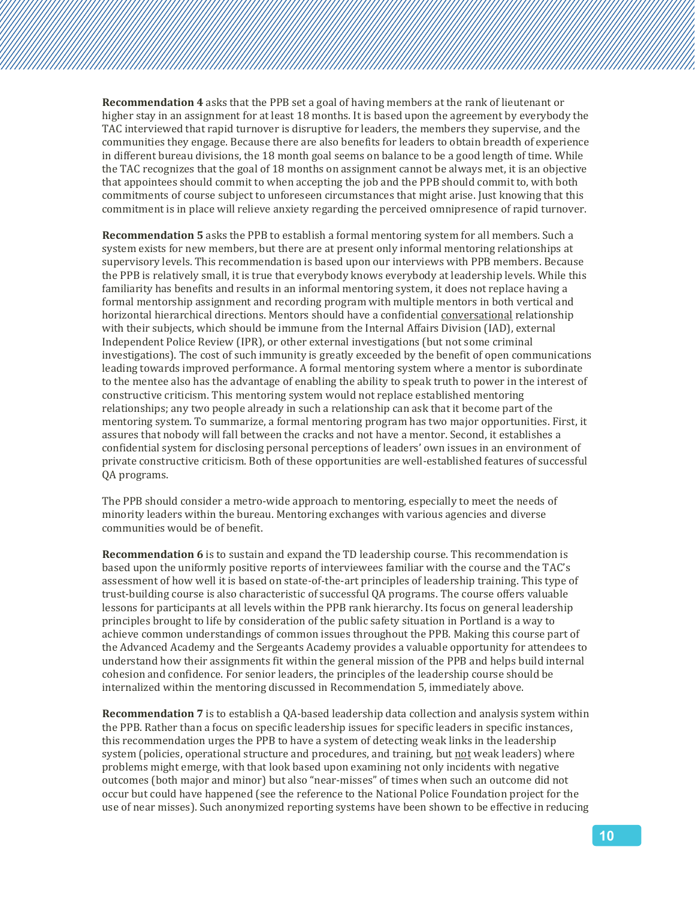**Recommendation 4** asks that the PPB set a goal of having members at the rank of lieutenant or higher stay in an assignment for at least 18 months. It is based upon the agreement by everybody the TAC interviewed that rapid turnover is disruptive for leaders, the members they supervise, and the communities they engage. Because there are also benefits for leaders to obtain breadth of experience in different bureau divisions, the 18 month goal seems on balance to be a good length of time. While the TAC recognizes that the goal of 18 months on assignment cannot be always met, it is an objective that appointees should commit to when accepting the job and the PPB should commit to, with both commitments of course subject to unforeseen circumstances that might arise. Just knowing that this commitment is in place will relieve anxiety regarding the perceived omnipresence of rapid turnover.

**Recommendation 5** asks the PPB to establish a formal mentoring system for all members. Such a system exists for new members, but there are at present only informal mentoring relationships at supervisory levels. This recommendation is based upon our interviews with PPB members. Because the PPB is relatively small, it is true that everybody knows everybody at leadership levels. While this familiarity has benefits and results in an informal mentoring system, it does not replace having a formal mentorship assignment and recording program with multiple mentors in both vertical and horizontal hierarchical directions. Mentors should have a confidential conversational relationship with their subjects, which should be immune from the Internal Affairs Division (IAD), external Independent Police Review (IPR), or other external investigations (but not some criminal investigations). The cost of such immunity is greatly exceeded by the benefit of open communications leading towards improved performance. A formal mentoring system where a mentor is subordinate to the mentee also has the advantage of enabling the ability to speak truth to power in the interest of constructive criticism. This mentoring system would not replace established mentoring relationships; any two people already in such a relationship can ask that it become part of the mentoring system. To summarize, a formal mentoring program has two major opportunities. First, it assures that nobody will fall between the cracks and not have a mentor. Second, it establishes a confidential system for disclosing personal perceptions of leaders' own issues in an environment of private constructive criticism. Both of these opportunities are well-established features of successful QA programs.

The PPB should consider a metro-wide approach to mentoring, especially to meet the needs of minority leaders within the bureau. Mentoring exchanges with various agencies and diverse communities would be of benefit.

**Recommendation 6** is to sustain and expand the TD leadership course. This recommendation is based upon the uniformly positive reports of interviewees familiar with the course and the TAC's assessment of how well it is based on state-of-the-art principles of leadership training. This type of trust-building course is also characteristic of successful QA programs. The course offers valuable lessons for participants at all levels within the PPB rank hierarchy. Its focus on general leadership principles brought to life by consideration of the public safety situation in Portland is a way to achieve common understandings of common issues throughout the PPB. Making this course part of the Advanced Academy and the Sergeants Academy provides a valuable opportunity for attendees to understand how their assignments fit within the general mission of the PPB and helps build internal cohesion and confidence. For senior leaders, the principles of the leadership course should be internalized within the mentoring discussed in Recommendation 5, immediately above.

**Recommendation 7** is to establish a QA-based leadership data collection and analysis system within the PPB. Rather than a focus on specific leadership issues for specific leaders in specific instances, this recommendation urges the PPB to have a system of detecting weak links in the leadership system (policies, operational structure and procedures, and training, but not weak leaders) where problems might emerge, with that look based upon examining not only incidents with negative outcomes (both major and minor) but also "near-misses" of times when such an outcome did not occur but could have happened (see the reference to the National Police Foundation project for the use of near misses). Such anonymized reporting systems have been shown to be effective in reducing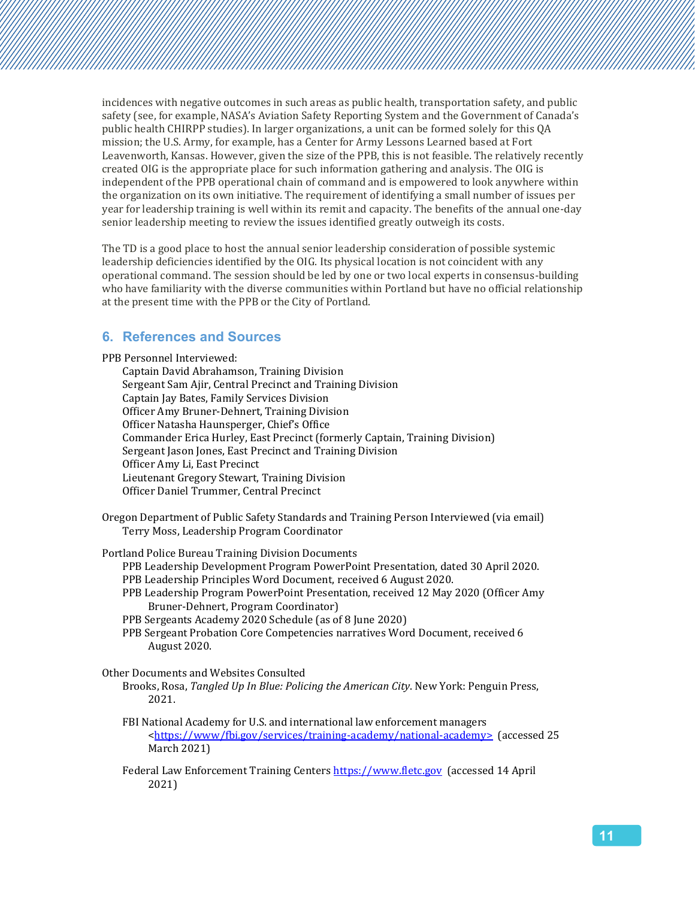incidences with negative outcomes in such areas as public health, transportation safety, and public safety (see, for example, NASA's Aviation Safety Reporting System and the Government of Canada's public health CHIRPP studies). In larger organizations, a unit can be formed solely for this QA mission; the U.S. Army, for example, has a Center for Army Lessons Learned based at Fort Leavenworth, Kansas. However, given the size of the PPB, this is not feasible. The relatively recently created OIG is the appropriate place for such information gathering and analysis. The OIG is independent of the PPB operational chain of command and is empowered to look anywhere within the organization on its own initiative. The requirement of identifying a small number of issues per year for leadership training is well within its remit and capacity. The benefits of the annual one-day senior leadership meeting to review the issues identified greatly outweigh its costs.

The TD is a good place to host the annual senior leadership consideration of possible systemic leadership deficiencies identified by the OIG. Its physical location is not coincident with any operational command. The session should be led by one or two local experts in consensus-building who have familiarity with the diverse communities within Portland but have no official relationship at the present time with the PPB or the City of Portland.

#### **6. References and Sources**

PPB Personnel Interviewed:

Captain David Abrahamson, Training Division Sergeant Sam Ajir, Central Precinct and Training Division Captain Jay Bates, Family Services Division Officer Amy Bruner-Dehnert, Training Division Officer Natasha Haunsperger, Chief's Office Commander Erica Hurley, East Precinct (formerly Captain, Training Division) Sergeant Jason Jones, East Precinct and Training Division Officer Amy Li, East Precinct Lieutenant Gregory Stewart, Training Division Officer Daniel Trummer, Central Precinct

Oregon Department of Public Safety Standards and Training Person Interviewed (via email) Terry Moss, Leadership Program Coordinator

Portland Police Bureau Training Division Documents

- PPB Leadership Development Program PowerPoint Presentation, dated 30 April 2020.
- PPB Leadership Principles Word Document, received 6 August 2020.
- PPB Leadership Program PowerPoint Presentation, received 12 May 2020 (Officer Amy Bruner-Dehnert, Program Coordinator)
- PPB Sergeants Academy 2020 Schedule (as of 8 June 2020)
- PPB Sergeant Probation Core Competencies narratives Word Document, received 6 August 2020.

Other Documents and Websites Consulted

- Brooks, Rosa, *Tangled Up In Blue: Policing the American City*. New York: Penguin Press, 2021.
- FBI National Academy for U.S. and international law enforcement managers [<https://www/fbi.gov/services/training-academy/national-academy>](https://www/fbi.gov/services/training-academy/national-academy) (accessed 25 March 2021)

Federal Law Enforcement Training Centers [https://www.fletc.gov](https://www.fletc.gov/) (accessed 14 April 2021)